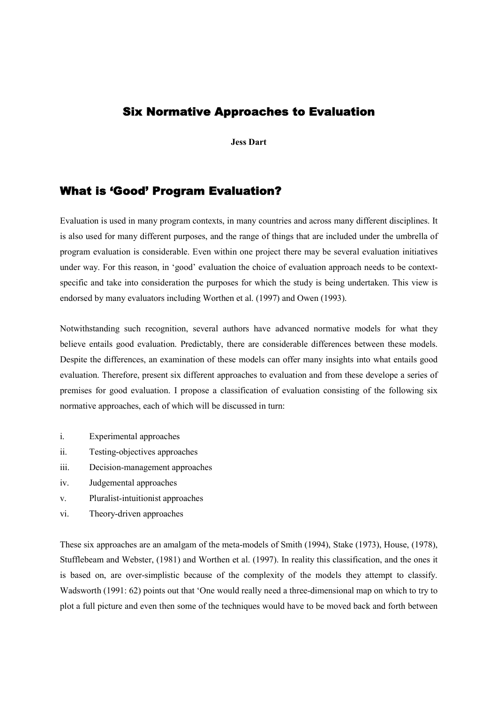## Six Normative Approaches to Evaluation

**Jess Dart** 

# What is 'Good' Program Evaluation?

Evaluation is used in many program contexts, in many countries and across many different disciplines. It is also used for many different purposes, and the range of things that are included under the umbrella of program evaluation is considerable. Even within one project there may be several evaluation initiatives under way. For this reason, in 'good' evaluation the choice of evaluation approach needs to be contextspecific and take into consideration the purposes for which the study is being undertaken. This view is endorsed by many evaluators including Worthen et al. (1997) and Owen (1993).

Notwithstanding such recognition, several authors have advanced normative models for what they believe entails good evaluation. Predictably, there are considerable differences between these models. Despite the differences, an examination of these models can offer many insights into what entails good evaluation. Therefore, present six different approaches to evaluation and from these develope a series of premises for good evaluation. I propose a classification of evaluation consisting of the following six normative approaches, each of which will be discussed in turn:

- i. Experimental approaches
- ii. Testing-objectives approaches
- iii. Decision-management approaches
- iv. Judgemental approaches
- v. Pluralist-intuitionist approaches
- vi. Theory-driven approaches

These six approaches are an amalgam of the meta-models of Smith (1994), Stake (1973), House, (1978), Stufflebeam and Webster, (1981) and Worthen et al. (1997). In reality this classification, and the ones it is based on, are over-simplistic because of the complexity of the models they attempt to classify. Wadsworth (1991: 62) points out that 'One would really need a three-dimensional map on which to try to plot a full picture and even then some of the techniques would have to be moved back and forth between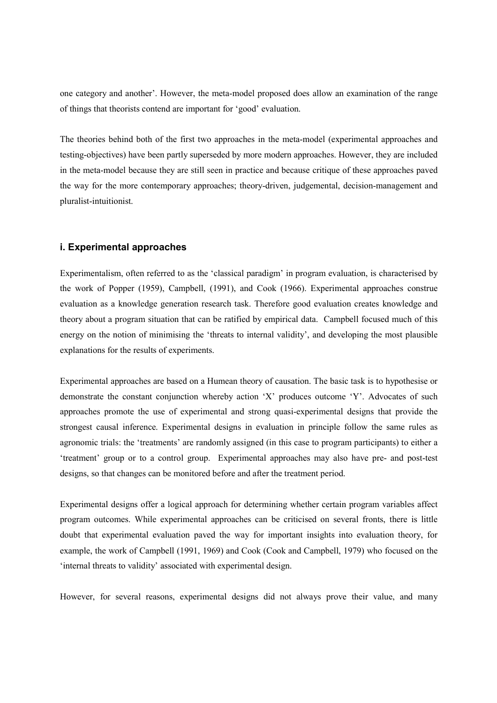one category and another'. However, the meta-model proposed does allow an examination of the range of things that theorists contend are important for 'good' evaluation.

The theories behind both of the first two approaches in the meta-model (experimental approaches and testing-objectives) have been partly superseded by more modern approaches. However, they are included in the meta-model because they are still seen in practice and because critique of these approaches paved the way for the more contemporary approaches; theory-driven, judgemental, decision-management and pluralist-intuitionist.

### **i. Experimental approaches**

Experimentalism, often referred to as the 'classical paradigm' in program evaluation, is characterised by the work of Popper (1959), Campbell, (1991), and Cook (1966). Experimental approaches construe evaluation as a knowledge generation research task. Therefore good evaluation creates knowledge and theory about a program situation that can be ratified by empirical data. Campbell focused much of this energy on the notion of minimising the 'threats to internal validity', and developing the most plausible explanations for the results of experiments.

Experimental approaches are based on a Humean theory of causation. The basic task is to hypothesise or demonstrate the constant conjunction whereby action 'X' produces outcome 'Y'. Advocates of such approaches promote the use of experimental and strong quasi-experimental designs that provide the strongest causal inference. Experimental designs in evaluation in principle follow the same rules as agronomic trials: the 'treatments' are randomly assigned (in this case to program participants) to either a 'treatment' group or to a control group. Experimental approaches may also have pre- and post-test designs, so that changes can be monitored before and after the treatment period.

Experimental designs offer a logical approach for determining whether certain program variables affect program outcomes. While experimental approaches can be criticised on several fronts, there is little doubt that experimental evaluation paved the way for important insights into evaluation theory, for example, the work of Campbell (1991, 1969) and Cook (Cook and Campbell, 1979) who focused on the 'internal threats to validity' associated with experimental design.

However, for several reasons, experimental designs did not always prove their value, and many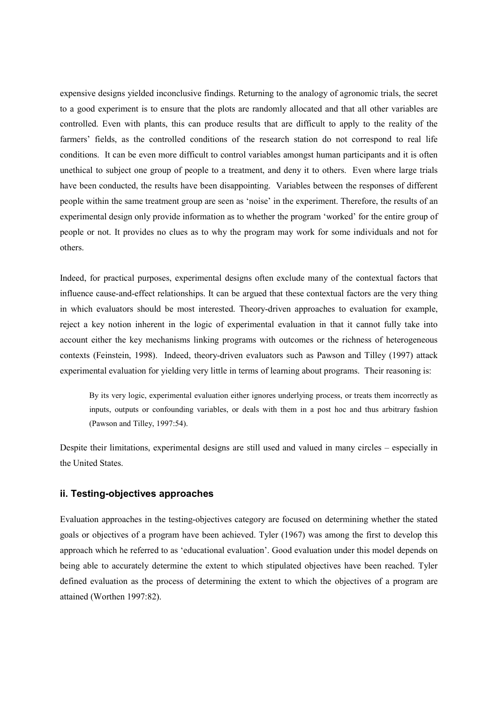expensive designs yielded inconclusive findings. Returning to the analogy of agronomic trials, the secret to a good experiment is to ensure that the plots are randomly allocated and that all other variables are controlled. Even with plants, this can produce results that are difficult to apply to the reality of the farmers' fields, as the controlled conditions of the research station do not correspond to real life conditions. It can be even more difficult to control variables amongst human participants and it is often unethical to subject one group of people to a treatment, and deny it to others. Even where large trials have been conducted, the results have been disappointing. Variables between the responses of different people within the same treatment group are seen as 'noise' in the experiment. Therefore, the results of an experimental design only provide information as to whether the program 'worked' for the entire group of people or not. It provides no clues as to why the program may work for some individuals and not for others.

Indeed, for practical purposes, experimental designs often exclude many of the contextual factors that influence cause-and-effect relationships. It can be argued that these contextual factors are the very thing in which evaluators should be most interested. Theory-driven approaches to evaluation for example, reject a key notion inherent in the logic of experimental evaluation in that it cannot fully take into account either the key mechanisms linking programs with outcomes or the richness of heterogeneous contexts (Feinstein, 1998). Indeed, theory-driven evaluators such as Pawson and Tilley (1997) attack experimental evaluation for yielding very little in terms of learning about programs. Their reasoning is:

By its very logic, experimental evaluation either ignores underlying process, or treats them incorrectly as inputs, outputs or confounding variables, or deals with them in a post hoc and thus arbitrary fashion (Pawson and Tilley, 1997:54).

Despite their limitations, experimental designs are still used and valued in many circles – especially in the United States.

## **ii. Testing-objectives approaches**

Evaluation approaches in the testing-objectives category are focused on determining whether the stated goals or objectives of a program have been achieved. Tyler (1967) was among the first to develop this approach which he referred to as 'educational evaluation'. Good evaluation under this model depends on being able to accurately determine the extent to which stipulated objectives have been reached. Tyler defined evaluation as the process of determining the extent to which the objectives of a program are attained (Worthen 1997:82).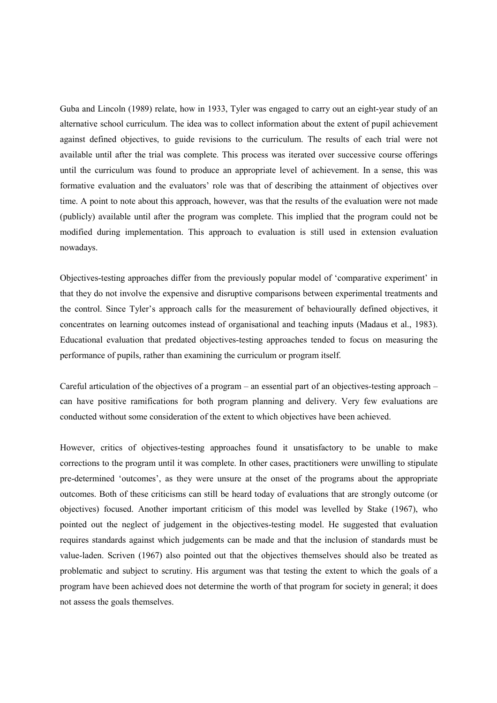Guba and Lincoln (1989) relate, how in 1933, Tyler was engaged to carry out an eight-year study of an alternative school curriculum. The idea was to collect information about the extent of pupil achievement against defined objectives, to guide revisions to the curriculum. The results of each trial were not available until after the trial was complete. This process was iterated over successive course offerings until the curriculum was found to produce an appropriate level of achievement. In a sense, this was formative evaluation and the evaluators' role was that of describing the attainment of objectives over time. A point to note about this approach, however, was that the results of the evaluation were not made (publicly) available until after the program was complete. This implied that the program could not be modified during implementation. This approach to evaluation is still used in extension evaluation nowadays.

Objectives-testing approaches differ from the previously popular model of 'comparative experiment' in that they do not involve the expensive and disruptive comparisons between experimental treatments and the control. Since Tyler's approach calls for the measurement of behaviourally defined objectives, it concentrates on learning outcomes instead of organisational and teaching inputs (Madaus et al., 1983). Educational evaluation that predated objectives-testing approaches tended to focus on measuring the performance of pupils, rather than examining the curriculum or program itself.

Careful articulation of the objectives of a program – an essential part of an objectives-testing approach – can have positive ramifications for both program planning and delivery. Very few evaluations are conducted without some consideration of the extent to which objectives have been achieved.

However, critics of objectives-testing approaches found it unsatisfactory to be unable to make corrections to the program until it was complete. In other cases, practitioners were unwilling to stipulate pre-determined 'outcomes', as they were unsure at the onset of the programs about the appropriate outcomes. Both of these criticisms can still be heard today of evaluations that are strongly outcome (or objectives) focused. Another important criticism of this model was levelled by Stake (1967), who pointed out the neglect of judgement in the objectives-testing model. He suggested that evaluation requires standards against which judgements can be made and that the inclusion of standards must be value-laden. Scriven (1967) also pointed out that the objectives themselves should also be treated as problematic and subject to scrutiny. His argument was that testing the extent to which the goals of a program have been achieved does not determine the worth of that program for society in general; it does not assess the goals themselves.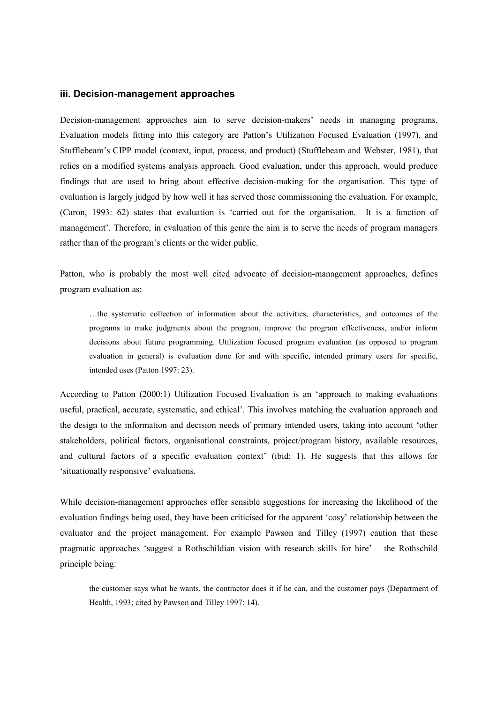#### **iii. Decision-management approaches**

Decision-management approaches aim to serve decision-makers' needs in managing programs. Evaluation models fitting into this category are Patton's Utilization Focused Evaluation (1997), and Stufflebeam's CIPP model (context, input, process, and product) (Stufflebeam and Webster, 1981), that relies on a modified systems analysis approach. Good evaluation, under this approach, would produce findings that are used to bring about effective decision-making for the organisation. This type of evaluation is largely judged by how well it has served those commissioning the evaluation. For example, (Caron, 1993: 62) states that evaluation is 'carried out for the organisation. It is a function of management'. Therefore, in evaluation of this genre the aim is to serve the needs of program managers rather than of the program's clients or the wider public.

Patton, who is probably the most well cited advocate of decision-management approaches, defines program evaluation as:

…the systematic collection of information about the activities, characteristics, and outcomes of the programs to make judgments about the program, improve the program effectiveness, and/or inform decisions about future programming. Utilization focused program evaluation (as opposed to program evaluation in general) is evaluation done for and with specific, intended primary users for specific, intended uses (Patton 1997: 23).

According to Patton (2000:1) Utilization Focused Evaluation is an 'approach to making evaluations useful, practical, accurate, systematic, and ethical'. This involves matching the evaluation approach and the design to the information and decision needs of primary intended users, taking into account 'other stakeholders, political factors, organisational constraints, project/program history, available resources, and cultural factors of a specific evaluation context' (ibid: 1). He suggests that this allows for 'situationally responsive' evaluations.

While decision-management approaches offer sensible suggestions for increasing the likelihood of the evaluation findings being used, they have been criticised for the apparent 'cosy' relationship between the evaluator and the project management. For example Pawson and Tilley (1997) caution that these pragmatic approaches 'suggest a Rothschildian vision with research skills for hire' – the Rothschild principle being:

the customer says what he wants, the contractor does it if he can, and the customer pays (Department of Health, 1993; cited by Pawson and Tilley 1997: 14).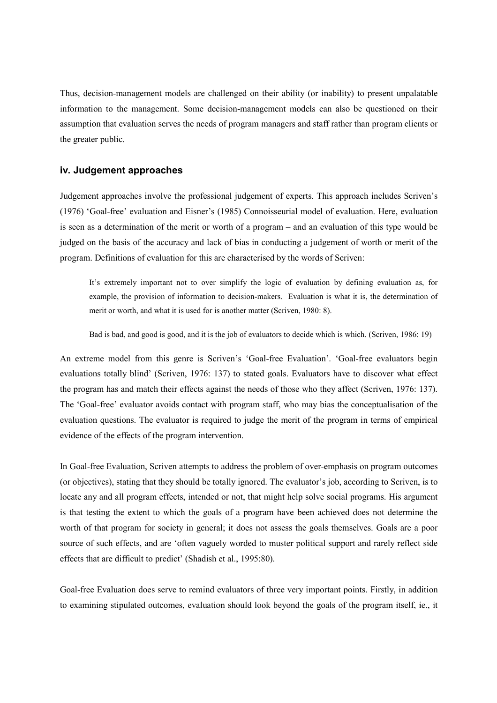Thus, decision-management models are challenged on their ability (or inability) to present unpalatable information to the management. Some decision-management models can also be questioned on their assumption that evaluation serves the needs of program managers and staff rather than program clients or the greater public.

## **iv. Judgement approaches**

Judgement approaches involve the professional judgement of experts. This approach includes Scriven's (1976) 'Goal-free' evaluation and Eisner's (1985) Connoisseurial model of evaluation. Here, evaluation is seen as a determination of the merit or worth of a program – and an evaluation of this type would be judged on the basis of the accuracy and lack of bias in conducting a judgement of worth or merit of the program. Definitions of evaluation for this are characterised by the words of Scriven:

It's extremely important not to over simplify the logic of evaluation by defining evaluation as, for example, the provision of information to decision-makers. Evaluation is what it is, the determination of merit or worth, and what it is used for is another matter (Scriven, 1980: 8).

Bad is bad, and good is good, and it is the job of evaluators to decide which is which. (Scriven, 1986: 19)

An extreme model from this genre is Scriven's 'Goal-free Evaluation'. 'Goal-free evaluators begin evaluations totally blind' (Scriven, 1976: 137) to stated goals. Evaluators have to discover what effect the program has and match their effects against the needs of those who they affect (Scriven, 1976: 137). The 'Goal-free' evaluator avoids contact with program staff, who may bias the conceptualisation of the evaluation questions. The evaluator is required to judge the merit of the program in terms of empirical evidence of the effects of the program intervention.

In Goal-free Evaluation, Scriven attempts to address the problem of over-emphasis on program outcomes (or objectives), stating that they should be totally ignored. The evaluator's job, according to Scriven, is to locate any and all program effects, intended or not, that might help solve social programs. His argument is that testing the extent to which the goals of a program have been achieved does not determine the worth of that program for society in general; it does not assess the goals themselves. Goals are a poor source of such effects, and are 'often vaguely worded to muster political support and rarely reflect side effects that are difficult to predict' (Shadish et al., 1995:80).

Goal-free Evaluation does serve to remind evaluators of three very important points. Firstly, in addition to examining stipulated outcomes, evaluation should look beyond the goals of the program itself, ie., it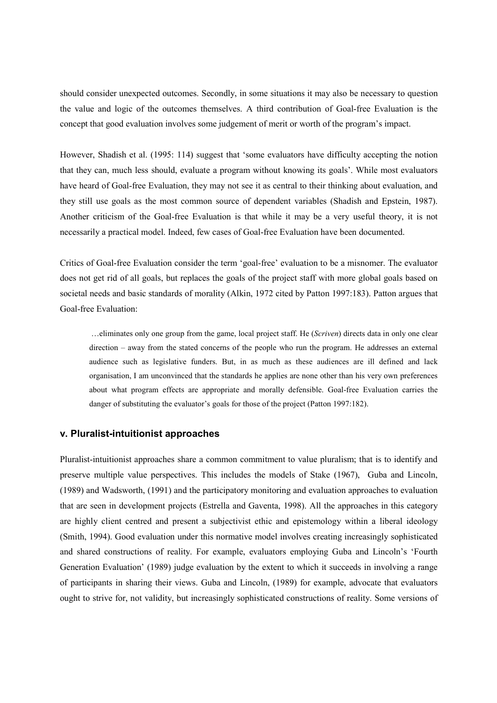should consider unexpected outcomes. Secondly, in some situations it may also be necessary to question the value and logic of the outcomes themselves. A third contribution of Goal-free Evaluation is the concept that good evaluation involves some judgement of merit or worth of the program's impact.

However, Shadish et al. (1995: 114) suggest that 'some evaluators have difficulty accepting the notion that they can, much less should, evaluate a program without knowing its goals'. While most evaluators have heard of Goal-free Evaluation, they may not see it as central to their thinking about evaluation, and they still use goals as the most common source of dependent variables (Shadish and Epstein, 1987). Another criticism of the Goal-free Evaluation is that while it may be a very useful theory, it is not necessarily a practical model. Indeed, few cases of Goal-free Evaluation have been documented.

Critics of Goal-free Evaluation consider the term 'goal-free' evaluation to be a misnomer. The evaluator does not get rid of all goals, but replaces the goals of the project staff with more global goals based on societal needs and basic standards of morality (Alkin, 1972 cited by Patton 1997:183). Patton argues that Goal-free Evaluation:

 …eliminates only one group from the game, local project staff. He (*Scriven*) directs data in only one clear direction – away from the stated concerns of the people who run the program. He addresses an external audience such as legislative funders. But, in as much as these audiences are ill defined and lack organisation, I am unconvinced that the standards he applies are none other than his very own preferences about what program effects are appropriate and morally defensible. Goal-free Evaluation carries the danger of substituting the evaluator's goals for those of the project (Patton 1997:182).

### **v. Pluralist-intuitionist approaches**

Pluralist-intuitionist approaches share a common commitment to value pluralism; that is to identify and preserve multiple value perspectives. This includes the models of Stake (1967), Guba and Lincoln, (1989) and Wadsworth, (1991) and the participatory monitoring and evaluation approaches to evaluation that are seen in development projects (Estrella and Gaventa, 1998). All the approaches in this category are highly client centred and present a subjectivist ethic and epistemology within a liberal ideology (Smith, 1994). Good evaluation under this normative model involves creating increasingly sophisticated and shared constructions of reality. For example, evaluators employing Guba and Lincoln's 'Fourth Generation Evaluation' (1989) judge evaluation by the extent to which it succeeds in involving a range of participants in sharing their views. Guba and Lincoln, (1989) for example, advocate that evaluators ought to strive for, not validity, but increasingly sophisticated constructions of reality. Some versions of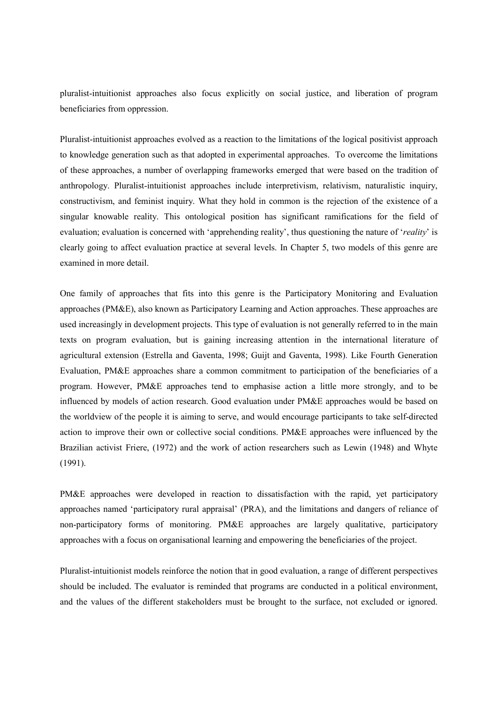pluralist-intuitionist approaches also focus explicitly on social justice, and liberation of program beneficiaries from oppression.

Pluralist-intuitionist approaches evolved as a reaction to the limitations of the logical positivist approach to knowledge generation such as that adopted in experimental approaches. To overcome the limitations of these approaches, a number of overlapping frameworks emerged that were based on the tradition of anthropology. Pluralist-intuitionist approaches include interpretivism, relativism, naturalistic inquiry, constructivism, and feminist inquiry. What they hold in common is the rejection of the existence of a singular knowable reality. This ontological position has significant ramifications for the field of evaluation; evaluation is concerned with 'apprehending reality', thus questioning the nature of '*reality*' is clearly going to affect evaluation practice at several levels. In Chapter 5, two models of this genre are examined in more detail.

One family of approaches that fits into this genre is the Participatory Monitoring and Evaluation approaches (PM&E), also known as Participatory Learning and Action approaches. These approaches are used increasingly in development projects. This type of evaluation is not generally referred to in the main texts on program evaluation, but is gaining increasing attention in the international literature of agricultural extension (Estrella and Gaventa, 1998; Guijt and Gaventa, 1998). Like Fourth Generation Evaluation, PM&E approaches share a common commitment to participation of the beneficiaries of a program. However, PM&E approaches tend to emphasise action a little more strongly, and to be influenced by models of action research. Good evaluation under PM&E approaches would be based on the worldview of the people it is aiming to serve, and would encourage participants to take self-directed action to improve their own or collective social conditions. PM&E approaches were influenced by the Brazilian activist Friere, (1972) and the work of action researchers such as Lewin (1948) and Whyte (1991).

PM&E approaches were developed in reaction to dissatisfaction with the rapid, yet participatory approaches named 'participatory rural appraisal' (PRA), and the limitations and dangers of reliance of non-participatory forms of monitoring. PM&E approaches are largely qualitative, participatory approaches with a focus on organisational learning and empowering the beneficiaries of the project.

Pluralist-intuitionist models reinforce the notion that in good evaluation, a range of different perspectives should be included. The evaluator is reminded that programs are conducted in a political environment, and the values of the different stakeholders must be brought to the surface, not excluded or ignored.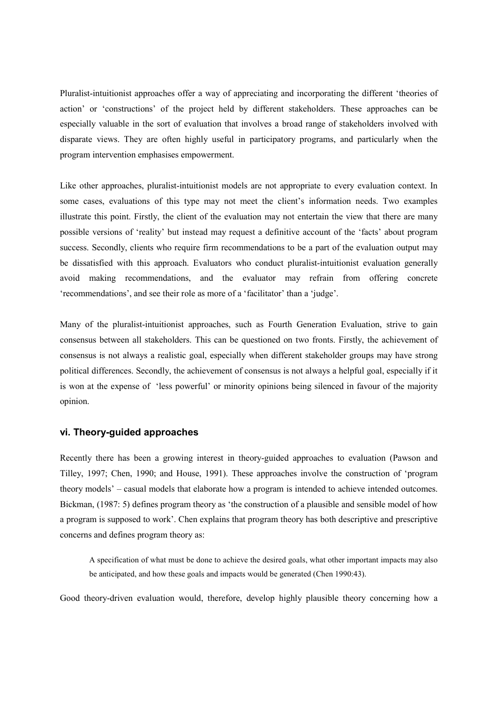Pluralist-intuitionist approaches offer a way of appreciating and incorporating the different 'theories of action' or 'constructions' of the project held by different stakeholders. These approaches can be especially valuable in the sort of evaluation that involves a broad range of stakeholders involved with disparate views. They are often highly useful in participatory programs, and particularly when the program intervention emphasises empowerment.

Like other approaches, pluralist-intuitionist models are not appropriate to every evaluation context. In some cases, evaluations of this type may not meet the client's information needs. Two examples illustrate this point. Firstly, the client of the evaluation may not entertain the view that there are many possible versions of 'reality' but instead may request a definitive account of the 'facts' about program success. Secondly, clients who require firm recommendations to be a part of the evaluation output may be dissatisfied with this approach. Evaluators who conduct pluralist-intuitionist evaluation generally avoid making recommendations, and the evaluator may refrain from offering concrete 'recommendations', and see their role as more of a 'facilitator' than a 'judge'.

Many of the pluralist-intuitionist approaches, such as Fourth Generation Evaluation, strive to gain consensus between all stakeholders. This can be questioned on two fronts. Firstly, the achievement of consensus is not always a realistic goal, especially when different stakeholder groups may have strong political differences. Secondly, the achievement of consensus is not always a helpful goal, especially if it is won at the expense of 'less powerful' or minority opinions being silenced in favour of the majority opinion.

#### **vi. Theory-guided approaches**

Recently there has been a growing interest in theory-guided approaches to evaluation (Pawson and Tilley, 1997; Chen, 1990; and House, 1991). These approaches involve the construction of 'program theory models' – casual models that elaborate how a program is intended to achieve intended outcomes. Bickman, (1987: 5) defines program theory as 'the construction of a plausible and sensible model of how a program is supposed to work'. Chen explains that program theory has both descriptive and prescriptive concerns and defines program theory as:

A specification of what must be done to achieve the desired goals, what other important impacts may also be anticipated, and how these goals and impacts would be generated (Chen 1990:43).

Good theory-driven evaluation would, therefore, develop highly plausible theory concerning how a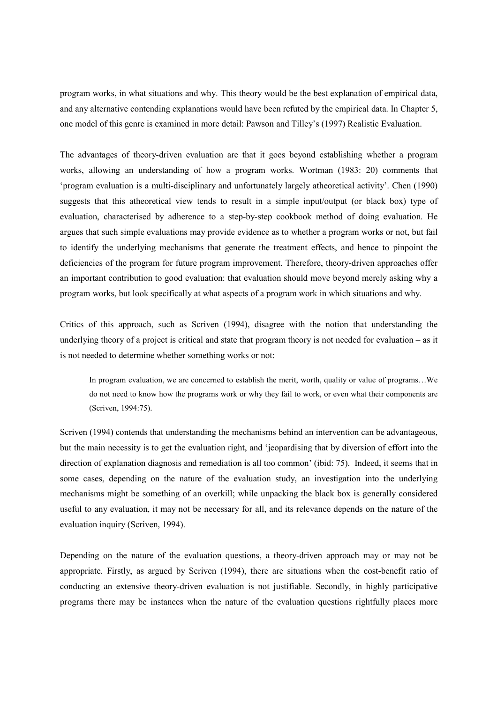program works, in what situations and why. This theory would be the best explanation of empirical data, and any alternative contending explanations would have been refuted by the empirical data. In Chapter 5, one model of this genre is examined in more detail: Pawson and Tilley's (1997) Realistic Evaluation.

The advantages of theory-driven evaluation are that it goes beyond establishing whether a program works, allowing an understanding of how a program works. Wortman (1983: 20) comments that 'program evaluation is a multi-disciplinary and unfortunately largely atheoretical activity'. Chen (1990) suggests that this atheoretical view tends to result in a simple input/output (or black box) type of evaluation, characterised by adherence to a step-by-step cookbook method of doing evaluation. He argues that such simple evaluations may provide evidence as to whether a program works or not, but fail to identify the underlying mechanisms that generate the treatment effects, and hence to pinpoint the deficiencies of the program for future program improvement. Therefore, theory-driven approaches offer an important contribution to good evaluation: that evaluation should move beyond merely asking why a program works, but look specifically at what aspects of a program work in which situations and why.

Critics of this approach, such as Scriven (1994), disagree with the notion that understanding the underlying theory of a project is critical and state that program theory is not needed for evaluation – as it is not needed to determine whether something works or not:

In program evaluation, we are concerned to establish the merit, worth, quality or value of programs…We do not need to know how the programs work or why they fail to work, or even what their components are (Scriven, 1994:75).

Scriven (1994) contends that understanding the mechanisms behind an intervention can be advantageous, but the main necessity is to get the evaluation right, and 'jeopardising that by diversion of effort into the direction of explanation diagnosis and remediation is all too common' (ibid: 75). Indeed, it seems that in some cases, depending on the nature of the evaluation study, an investigation into the underlying mechanisms might be something of an overkill; while unpacking the black box is generally considered useful to any evaluation, it may not be necessary for all, and its relevance depends on the nature of the evaluation inquiry (Scriven, 1994).

Depending on the nature of the evaluation questions, a theory-driven approach may or may not be appropriate. Firstly, as argued by Scriven (1994), there are situations when the cost-benefit ratio of conducting an extensive theory-driven evaluation is not justifiable. Secondly, in highly participative programs there may be instances when the nature of the evaluation questions rightfully places more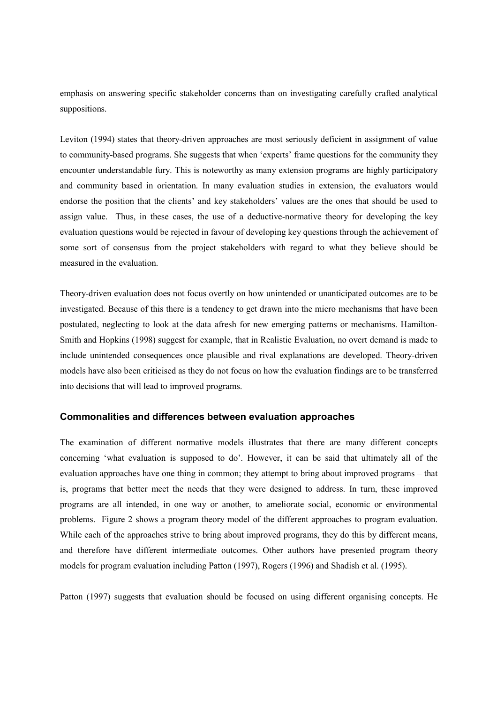emphasis on answering specific stakeholder concerns than on investigating carefully crafted analytical suppositions.

Leviton (1994) states that theory-driven approaches are most seriously deficient in assignment of value to community-based programs. She suggests that when 'experts' frame questions for the community they encounter understandable fury. This is noteworthy as many extension programs are highly participatory and community based in orientation. In many evaluation studies in extension, the evaluators would endorse the position that the clients' and key stakeholders' values are the ones that should be used to assign value. Thus, in these cases, the use of a deductive-normative theory for developing the key evaluation questions would be rejected in favour of developing key questions through the achievement of some sort of consensus from the project stakeholders with regard to what they believe should be measured in the evaluation.

Theory-driven evaluation does not focus overtly on how unintended or unanticipated outcomes are to be investigated. Because of this there is a tendency to get drawn into the micro mechanisms that have been postulated, neglecting to look at the data afresh for new emerging patterns or mechanisms. Hamilton-Smith and Hopkins (1998) suggest for example, that in Realistic Evaluation, no overt demand is made to include unintended consequences once plausible and rival explanations are developed. Theory-driven models have also been criticised as they do not focus on how the evaluation findings are to be transferred into decisions that will lead to improved programs.

## **Commonalities and differences between evaluation approaches**

The examination of different normative models illustrates that there are many different concepts concerning 'what evaluation is supposed to do'. However, it can be said that ultimately all of the evaluation approaches have one thing in common; they attempt to bring about improved programs – that is, programs that better meet the needs that they were designed to address. In turn, these improved programs are all intended, in one way or another, to ameliorate social, economic or environmental problems. Figure 2 shows a program theory model of the different approaches to program evaluation. While each of the approaches strive to bring about improved programs, they do this by different means, and therefore have different intermediate outcomes. Other authors have presented program theory models for program evaluation including Patton (1997), Rogers (1996) and Shadish et al. (1995).

Patton (1997) suggests that evaluation should be focused on using different organising concepts. He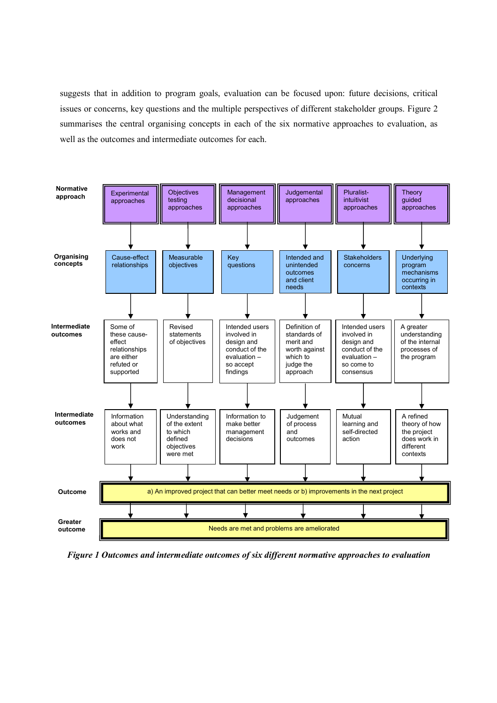suggests that in addition to program goals, evaluation can be focused upon: future decisions, critical issues or concerns, key questions and the multiple perspectives of different stakeholder groups. Figure 2 summarises the central organising concepts in each of the six normative approaches to evaluation, as well as the outcomes and intermediate outcomes for each.



*Figure 1 Outcomes and intermediate outcomes of six different normative approaches to evaluation*